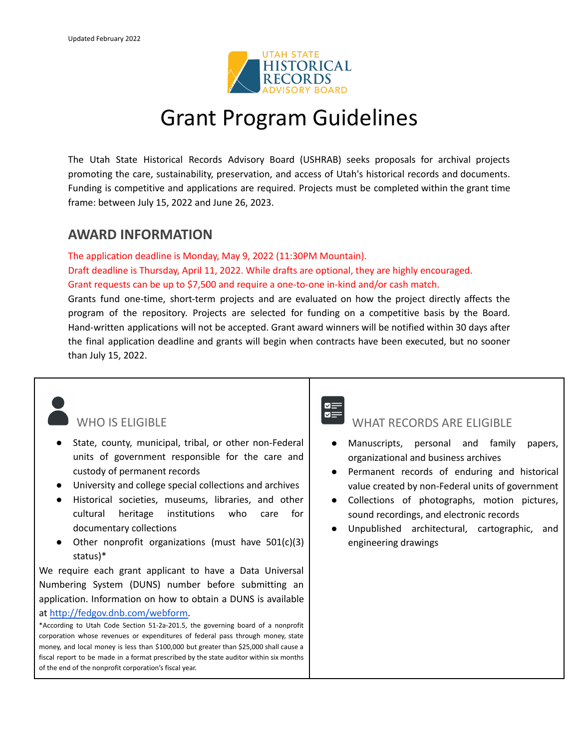

## Grant Program Guidelines

The Utah State Historical Records Advisory Board (USHRAB) seeks proposals for archival projects promoting the care, sustainability, preservation, and access of Utah's historical records and documents. Funding is competitive and applications are required. Projects must be completed within the grant time frame: between July 15, 2022 and June 26, 2023.

### **AWARD INFORMATION**

The application deadline is Monday, May 9, 2022 (11:30PM Mountain). Draft deadline is Thursday, April 11, 2022. While drafts are optional, they are highly encouraged. Grant requests can be up to \$7,500 and require a one-to-one in-kind and/or cash match.

Grants fund one-time, short-term projects and are evaluated on how the project directly affects the program of the repository. Projects are selected for funding on a competitive basis by the Board. Hand-written applications will not be accepted. Grant award winners will be notified within 30 days after the final application deadline and grants will begin when contracts have been executed, but no sooner than July 15, 2022.

### WHO IS FLIGIBLE

- State, county, municipal, tribal, or other non-Federal units of government responsible for the care and custody of permanent records
- University and college special collections and archives
- Historical societies, museums, libraries, and other cultural heritage institutions who care for documentary collections
- Other nonprofit organizations (must have 501(c)(3) status)\*

We require each grant applicant to have a Data Universal Numbering System (DUNS) number before submitting an application. Information on how to obtain a DUNS is available at [http://fedgov.dnb.com/webform.](http://fedgov.dnb.com/webform)

\*According to Utah Code Section 51-2a-201.5, the governing board of a nonprofit corporation whose revenues or expenditures of federal pass through money, state money, and local money is less than \$100,000 but greater than \$25,000 shall cause a fiscal report to be made in a format prescribed by the state auditor within six months of the end of the nonprofit corporation's fiscal year.



#### WHAT RECORDS ARE FLIGIBLE

- Manuscripts, personal and family papers, organizational and business archives
- Permanent records of enduring and historical value created by non-Federal units of government
- Collections of photographs, motion pictures, sound recordings, and electronic records
- Unpublished architectural, cartographic, and engineering drawings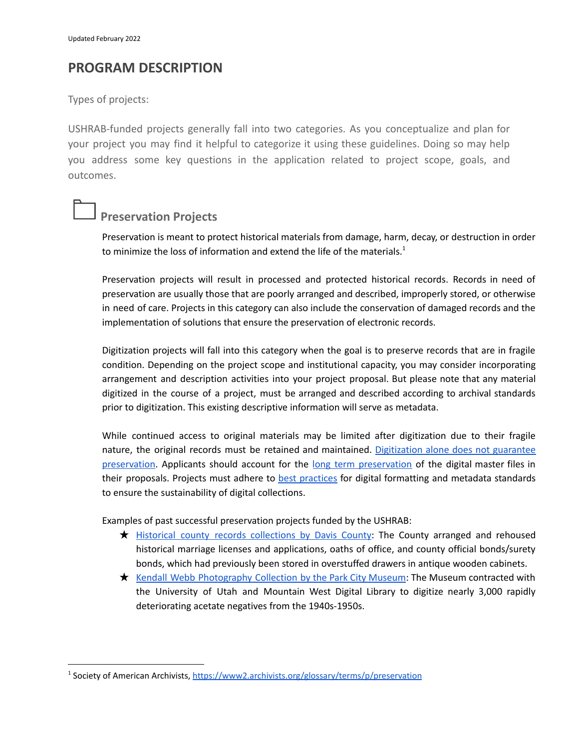### **PROGRAM DESCRIPTION**

Types of projects:

USHRAB-funded projects generally fall into two categories. As you conceptualize and plan for your project you may find it helpful to categorize it using these guidelines. Doing so may help you address some key questions in the application related to project scope, goals, and outcomes.

### **Preservation Projects**

Preservation is meant to protect historical materials from damage, harm, decay, or destruction in order to minimize the loss of information and extend the life of the materials.<sup>1</sup>

Preservation projects will result in processed and protected historical records. Records in need of preservation are usually those that are poorly arranged and described, improperly stored, or otherwise in need of care. Projects in this category can also include the conservation of damaged records and the implementation of solutions that ensure the preservation of electronic records.

Digitization projects will fall into this category when the goal is to preserve records that are in fragile condition. Depending on the project scope and institutional capacity, you may consider incorporating arrangement and description activities into your project proposal. But please note that any material digitized in the course of a project, must be arranged and described according to archival standards prior to digitization. This existing descriptive information will serve as metadata.

While continued access to original materials may be limited after digitization due to their fragile nature, the original records must be retained and maintained. [Digitization](https://www.dpconline.org/handbook/digital-preservation/why-digital-preservation-matters) alone does not guarantee [preservation](https://www.dpconline.org/handbook/digital-preservation/why-digital-preservation-matters). Applicants should account for the long term [preservation](https://ndsa.org/publications/levels-of-digital-preservation/) of the digital master files in their proposals. Projects must adhere to **best [practices](https://mwdl.org/getinvolved/policies.php)** for digital formatting and metadata standards to ensure the sustainability of digital collections.

Examples of past successful preservation projects funded by the USHRAB:

- ★ Historical county records [collections](https://archivesnews.utah.gov/2020/05/06/davis-county-hard-at-work-preserving-historical-records-with-ushrab-grant-funds/) by Davis County: The County arranged and rehoused historical marriage licenses and applications, oaths of office, and county official bonds/surety bonds, which had previously been stored in overstuffed drawers in antique wooden cabinets.
- ★ Kendall Webb [Photography](https://archivesnews.utah.gov/2020/03/11/at-risk-collections-are-preserved-with-ushrab-funding/) Collection by the Park City Museum: The Museum contracted with the University of Utah and Mountain West Digital Library to digitize nearly 3,000 rapidly deteriorating acetate negatives from the 1940s-1950s.

<sup>&</sup>lt;sup>1</sup> Society of American Archivists, <https://www2.archivists.org/glossary/terms/p/preservation>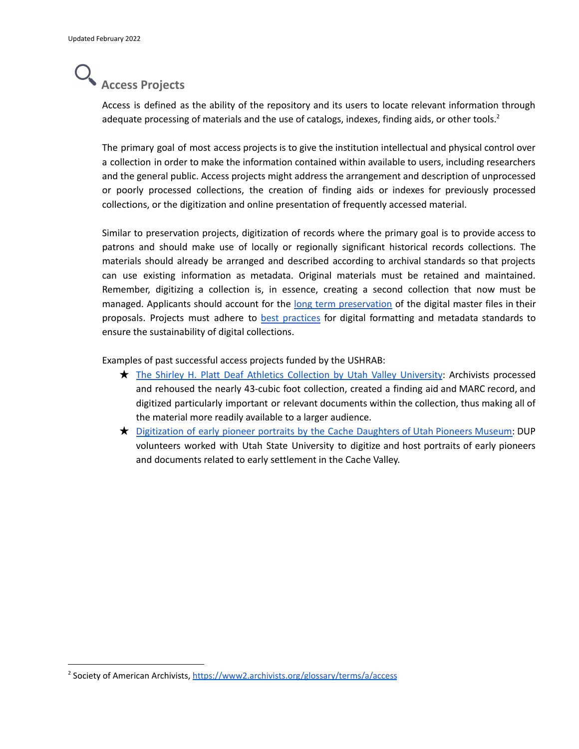## **Access Projects**

Access is defined as the ability of the repository and its users to locate relevant information through adequate processing of materials and the use of catalogs, indexes, finding aids, or other tools.<sup>2</sup>

The primary goal of most access projects is to give the institution intellectual and physical control over a collection in order to make the information contained within available to users, including researchers and the general public. Access projects might address the arrangement and description of unprocessed or poorly processed collections, the creation of finding aids or indexes for previously processed collections, or the digitization and online presentation of frequently accessed material.

Similar to preservation projects, digitization of records where the primary goal is to provide access to patrons and should make use of locally or regionally significant historical records collections. The materials should already be arranged and described according to archival standards so that projects can use existing information as metadata. Original materials must be retained and maintained. Remember, digitizing a collection is, in essence, creating a second collection that now must be managed. Applicants should account for the long term [preservation](https://ndsa.org/publications/levels-of-digital-preservation/) of the digital master files in their proposals. Projects must adhere to best [practices](https://mwdl.org/getinvolved/policies.php) for digital formatting and metadata standards to ensure the sustainability of digital collections.

Examples of past successful access projects funded by the USHRAB:

- ★ The Shirley H. Platt Deaf Athletics Collection by Utah Valley [University](https://uvu.contentdm.oclc.org/digital/collection/aaadbull): Archivists processed and rehoused the nearly 43-cubic foot collection, created a finding aid and MARC record, and digitized particularly important or relevant documents within the collection, thus making all of the material more readily available to a larger audience.
- ★ [Digitization](https://digital.lib.usu.edu/digital/collection/p16944coll33) of early pioneer portraits by the Cache Daughters of Utah Pioneers Museum: DUP volunteers worked with Utah State University to digitize and host portraits of early pioneers and documents related to early settlement in the Cache Valley.

<sup>&</sup>lt;sup>2</sup> Society of American Archivists, <https://www2.archivists.org/glossary/terms/a/access>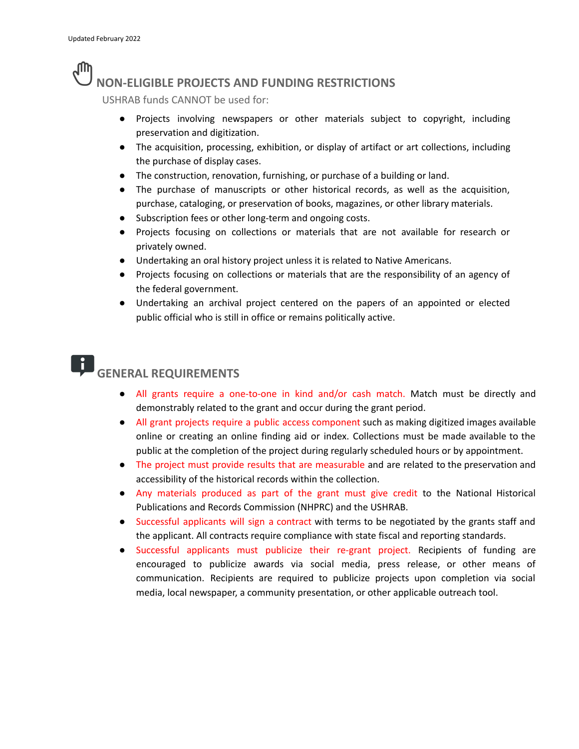### **JUP NON-ELIGIBLE PROJECTS AND FUNDING RESTRICTIONS**

USHRAB funds CANNOT be used for:

- Projects involving newspapers or other materials subject to copyright, including preservation and digitization.
- The acquisition, processing, exhibition, or display of artifact or art collections, including the purchase of display cases.
- The construction, renovation, furnishing, or purchase of a building or land.
- The purchase of manuscripts or other historical records, as well as the acquisition, purchase, cataloging, or preservation of books, magazines, or other library materials.
- Subscription fees or other long-term and ongoing costs.
- Projects focusing on collections or materials that are not available for research or privately owned.
- Undertaking an oral history project unless it is related to Native Americans.
- Projects focusing on collections or materials that are the responsibility of an agency of the federal government.
- Undertaking an archival project centered on the papers of an appointed or elected public official who is still in office or remains politically active.

#### IJ **GENERAL REQUIREMENTS**

- All grants require a one-to-one in kind and/or cash match. Match must be directly and demonstrably related to the grant and occur during the grant period.
- All grant projects require a public access component such as making digitized images available online or creating an online finding aid or index. Collections must be made available to the public at the completion of the project during regularly scheduled hours or by appointment.
- The project must provide results that are measurable and are related to the preservation and accessibility of the historical records within the collection.
- Any materials produced as part of the grant must give credit to the National Historical Publications and Records Commission (NHPRC) and the USHRAB.
- Successful applicants will sign a contract with terms to be negotiated by the grants staff and the applicant. All contracts require compliance with state fiscal and reporting standards.
- Successful applicants must publicize their re-grant project. Recipients of funding are encouraged to publicize awards via social media, press release, or other means of communication. Recipients are required to publicize projects upon completion via social media, local newspaper, a community presentation, or other applicable outreach tool.